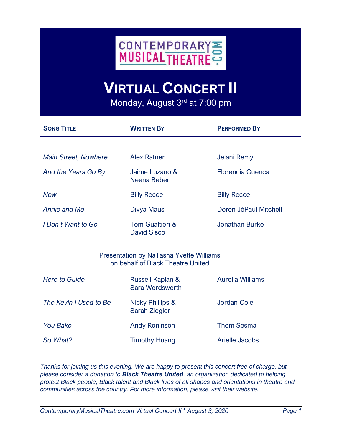

## **VIRTUAL CONCERT II**

Monday, August 3<sup>rd</sup> at 7:00 pm

| <b>SONG TITLE</b>                                                                   | <b>WRITTEN BY</b>                            | <b>PERFORMED BY</b>     |
|-------------------------------------------------------------------------------------|----------------------------------------------|-------------------------|
|                                                                                     |                                              |                         |
| <b>Main Street, Nowhere</b>                                                         | <b>Alex Ratner</b>                           | Jelani Remy             |
| And the Years Go By                                                                 | Jaime Lozano &<br>Neena Beber                | <b>Florencia Cuenca</b> |
| <b>Now</b>                                                                          | <b>Billy Recce</b>                           | <b>Billy Recce</b>      |
| Annie and Me                                                                        | Divya Maus                                   | Doron JéPaul Mitchell   |
| I Don't Want to Go                                                                  | Tom Gualtieri &<br><b>David Sisco</b>        | <b>Jonathan Burke</b>   |
| <b>Presentation by NaTasha Yvette Williams</b><br>on behalf of Black Theatre United |                                              |                         |
| <b>Here to Guide</b>                                                                | Russell Kaplan &<br>Sara Wordsworth          | <b>Aurelia Williams</b> |
| The Kevin I Used to Be                                                              | <b>Nicky Phillips &amp;</b><br>Sarah Ziegler | <b>Jordan Cole</b>      |
| <b>You Bake</b>                                                                     | <b>Andy Roninson</b>                         | <b>Thom Sesma</b>       |
| So What?                                                                            | <b>Timothy Huang</b>                         | <b>Arielle Jacobs</b>   |

*Thanks for joining us this evening. We are happy to present this concert free of charge, but please consider a donation to Black Theatre United, an organization dedicated to helping protect Black people, Black talent and Black lives of all shapes and orientations in theatre and communities across the country. For more information, please visit their [website.](https://www.blacktheatreunited.com/)*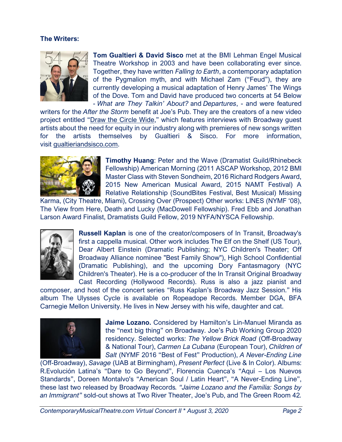## **The Writers:**



**Tom Gualtieri & David Sisco** met at the BMI Lehman Engel Musical Theatre Workshop in 2003 and have been collaborating ever since. Together, they have written *Falling to Earth*, a contemporary adaptation of the Pygmalion myth, and with Michael Zam ("Feud"), they are currently developing a musical adaptation of Henry James' The Wings of the Dove. Tom and David have produced two concerts at 54 Below - *What are They Talkin' About?* and *Departures*, - and were featured

writers for the *After the Storm* benefit at Joe's Pub. They are the creators of a new video project entitled "[Draw the Circle Wide](https://www.youtube.com/watch?v=sAhpjLLGwfc)," which features interviews with Broadway guest artists about the need for equity in our industry along with premieres of new songs written for the artists themselves by Gualtieri & Sisco. For more information, visit [gualtieriandsisco.com.](http://gualtieriandsisco.com/)



**Timothy Huang**: Peter and the Wave (Dramatist Guild/Rhinebeck Fellowship) American Morning (2011 ASCAP Workshop, 2012 BMI Master Class with Steven Sondheim, 2016 Richard Rodgers Award, 2015 New American Musical Award, 2015 NAMT Festival) A Relative Relationship (SoundBites Festival, Best Musical) Missing

Karma, (City Theatre, Miami), Crossing Over (Prospect) Other works: LINES (NYMF '08), The View from Here, Death and Lucky (MacDowell Fellowship). Fred Ebb and Jonathan Larson Award Finalist, Dramatists Guild Fellow, 2019 NYFA/NYSCA Fellowship.



**Russell Kaplan** is one of the creator/composers of In Transit, Broadway's first a cappella musical. Other work includes The Elf on the Shelf (US Tour), Dear Albert Einstein (Dramatic Publishing; NYC Children's Theater; Off Broadway Alliance nominee "Best Family Show"), High School Confidential (Dramatic Publishing), and the upcoming Dory Fantasmagory (NYC Children's Theater). He is a co-producer of the In Transit Original Broadway Cast Recording (Hollywood Records). Russ is also a jazz pianist and

composer, and host of the concert series "Russ Kaplan's Broadway Jazz Session." His album The Ulysses Cycle is available on Ropeadope Records. Member DGA, BFA Carnegie Mellon University. He lives in New Jersey with his wife, daughter and cat.



**Jaime Lozano.** Considered by Hamilton's Lin-Manuel Miranda as the "next big thing" on Broadway. Joe's Pub Working Group 2020 residency. Selected works: *The Yellow Brick Road* (Off-Broadway & National Tour), *Carmen La Cubana* (European Tour), *Children of Salt* (NYMF 2016 "Best of Fest" Production), *A Never-Ending Line*

(Off-Broadway), *Savage* (UAB at Birmingham), *Present Perfect* (Live & In Color). Albums: R.Evolución Latina's "Dare to Go Beyond", Florencia Cuenca's "Aquí – Los Nuevos Standards", Doreen Montalvo's "American Soul / Latin Heart", "A Never-Ending Line", these last two released by Broadway Records*. "Jaime Lozano and the Familia: Songs by an Immigrant"* sold-out shows at Two River Theater, Joe's Pub, and The Green Room 42*.*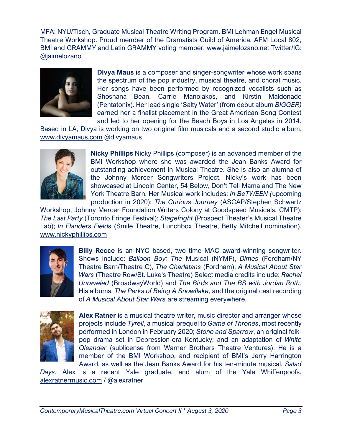MFA: NYU/Tisch, Graduate Musical Theatre Writing Program. BMI Lehman Engel Musical Theatre Workshop. Proud member of the Dramatists Guild of America, AFM Local 802, BMI and GRAMMY and Latin GRAMMY voting member. [www.jaimelozano.net](http://www.jaimelozano.net/) Twitter/IG: @jaimelozano



**Divya Maus** is a composer and singer-songwriter whose work spans the spectrum of the pop industry, musical theatre, and choral music. Her songs have been performed by recognized vocalists such as Shoshana Bean, Carrie Manolakos, and Kirstin Maldonado (Pentatonix). Her lead single 'Salty Water' (from debut album *BIGGER)* earned her a finalist placement in the Great American Song Contest and led to her opening for the Beach Boys in Los Angeles in 2014.

Based in LA, Divya is working on two original film musicals and a second studio album. [www.divyamaus.com](http://www.divyamaus.com/) @divyamaus



**Nicky Phillips** Nicky Phillips (composer) is an advanced member of the BMI Workshop where she was awarded the Jean Banks Award for outstanding achievement in Musical Theatre. She is also an alumna of the Johnny Mercer Songwriters Project. Nicky's work has been showcased at Lincoln Center, 54 Below, Don't Tell Mama and The New York Theatre Barn. Her Musical work includes: *In BeTWEEN (*upcoming production in 2020); *The Curious Journey* (ASCAP/Stephen Schwartz

Workshop, Johnny Mercer Foundation Writers Colony at Goodspeed Musicals, CMTP); *The Last Party* (Toronto Fringe Festival); *Stagefright* (Prospect Theater's Musical Theatre Lab); *In Flanders Fields* (Smile Theatre, Lunchbox Theatre, Betty Mitchell nomination). [www.nickyphillips.com](http://www.nickyphillips.com/)



**Billy Recce** is an NYC based, two time MAC award-winning songwriter. Shows include: *Balloon Boy: The* Musical (NYMF), *Dimes* (Fordham/NY Theatre Barn/Theatre C), *The Charlatans* (Fordham), *A Musical About Star Wars* (Theatre Row/St. Luke's Theatre) Select media credits include: *Rachel Unraveled* (BroadwayWorld) and *The Birds and The BS with Jordan Roth*. His albums, *The Perks of Being A Snowflake*, and the original cast recording of *A Musical About Star Wars* are streaming everywhere.



**Alex Ratner** is a musical theatre writer, music director and arranger whose projects include *Tyrell*, a musical prequel to *Game of Thrones*, most recently performed in London in February 2020; *Stone and Sparrow*, an original folkpop drama set in Depression-era Kentucky; and an adaptation of *White Oleander* (sublicense from Warner Brothers Theatre Ventures). He is a member of the BMI Workshop, and recipient of BMI's Jerry Harrington Award, as well as the Jean Banks Award for his ten-minute musical, *Salad* 

*Days*. Alex is a recent Yale graduate, and alum of the Yale Whiffenpoofs. [alexratnermusic.com](http://alexratnermusic.com/) / @alexratner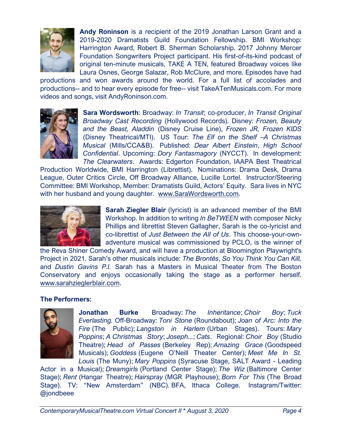

**Andy Roninson** is a recipient of the 2019 Jonathan Larson Grant and a 2019-2020 Dramatists Guild Foundation Fellowship. BMI Workshop: Harrington Award, Robert B. Sherman Scholarship. 2017 Johnny Mercer Foundation Songwriters Project participant. His first-of-its-kind podcast of original ten-minute musicals, TAKE A TEN, featured Broadway voices like Laura Osnes, George Salazar, Rob McClure, and more. Episodes have had

productions and won awards around the world. For a full list of accolades and productions-- and to hear every episode for free-- visit TakeATenMusicals.com. For more videos and songs, visit AndyRoninson.com.



**Sara Wordsworth**: Broadway: *In Transit*; co-producer, *In Transit Original Broadway Cast Recording* (Hollywood Records). Disney: *Frozen, Beauty and the Beast, Aladdin* (Disney Cruise Line), *Frozen JR, Frozen KIDS* (Disney Theatrical/MTI). US Tour: *The Elf on the Shelf –A Christmas Musical* (Mills/CCA&B). Published: *Dear Albert Einstein*, *High School Confidential*. Upcoming: *Dory Fantasmagory* (NYCCT). In development: *The Clearwaters*. Awards: Edgerton Foundation, IAAPA Best Theatrical

Production Worldwide, BMI Harrington (Librettist). Nominations: Drama Desk, Drama League, Outer Critics Circle, Off Broadway Alliance, Lucille Lortel. Instructor/Steering Committee: BMI Workshop, Member: Dramatists Guild, Actors' Equity. Sara lives in NYC with her husband and young daughter. [www.SaraWordsworth.com.](http://www.sarawordsworth.com/)



**Sarah Ziegler Blair** (lyricist) is an advanced member of the BMI Workshop. In addition to writing *In BeTWEEN* with composer Nicky Phillips and librettist Steven Gallagher, Sarah is the co-lyricist and co-librettist of *Just Between the All of Us*. This choose-your-ownadventure musical was commissioned by PCLO, is the winner of

the Reva Shiner Comedy Award, and will have a production at Bloomington Playwright's Project in 2021. Sarah's other musicals include: *The Brontës*, *So You Think You Can Kill,* and *Dustin Gavins P.I.* Sarah has a Masters in Musical Theater from The Boston Conservatory and enjoys occasionally taking the stage as a performer herself. [www.sarahzieglerblair.com.](http://www.sarahzieglerblair.com/)

## **The Performers:**



**Jonathan Burke** Broadway: *The Inheritance*; *Choir Boy*; *Tuck Everlasting.* Off-Broadway: *Toni Stone* (Roundabout); *Joan of Arc: Into the Fire* (The Public); *Langston in Harlem* (Urban Stages). Tours: *Mary Poppins*; *A Christmas Story*; *Joseph...*; *Cats*. Regional: *Choir Boy* (Studio Theatre); *Head of Passes* (Berkeley Rep); *Amazing Grace* (Goodspeed Musicals); *Goddess* (Eugene O'Neill Theater Center); *Meet Me In St. Louis* (The Muny); *Mary Poppins* (Syracuse Stage, SALT Award - Leading

Actor in a Musical); *Dreamgirls* (Portland Center Stage); *The Wiz* (Baltimore Center Stage); *Rent* (Hangar Theatre); *Hairspray* (MGR Playhouse); *Born For This* (The Broad Stage). TV: "New Amsterdam" (NBC). BFA, Ithaca College. Instagram/Twitter: @jondbeee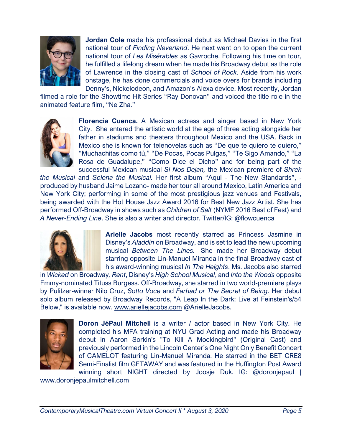

**Jordan Cole** made his professional debut as Michael Davies in the first national tour of *Finding Neverland*. He next went on to open the current national tour of *Les Misérables* as Gavroche. Following his time on tour, he fulfilled a lifelong dream when he made his Broadway debut as the role of Lawrence in the closing cast of *School of Rock*. Aside from his work onstage, he has done commercials and voice overs for brands including Denny's, Nickelodeon, and Amazon's Alexa device. Most recently, Jordan

filmed a role for the Showtime Hit Series "Ray Donovan" and voiced the title role in the animated feature film, "Ne Zha."



**Florencia Cuenca.** A Mexican actress and singer based in New York City. She entered the artistic world at the age of three acting alongside her father in stadiums and theaters throughout Mexico and the USA. Back in Mexico she is known for telenovelas such as "De que te quiero te quiero," "Muchachitas como tú," "De Pocas, Pocas Pulgas," "Te Sigo Amando," "La Rosa de Guadalupe," "Como Dice el Dicho" and for being part of the successful Mexican musical *Si Nos Dejan,* the Mexican premiere of *Shrek* 

*the Musical* and *Selena the Musical.* Her first album "Aquí - The New Standards", produced by husband Jaime Lozano- made her tour all around Mexico, Latin America and New York City; performing in some of the most prestigious jazz venues and Festivals, being awarded with the Hot House Jazz Award 2016 for Best New Jazz Artist. She has performed Off-Broadway in shows such as *Children of Salt* (NYMF 2016 Best of Fest) and *A Never-Ending Line*. She is also a writer and director. Twitter/IG: @flowcuenca



**Arielle Jacobs** most recently starred as Princess Jasmine in Disney's *Aladdin* on Broadway, and is set to lead the new upcoming musical *Between The Lines.* She made her Broadway debut starring opposite Lin-Manuel Miranda in the final Broadway cast of his award-winning musical *In The Heights*. Ms. Jacobs also starred

in *Wicked* on Broadway*, Rent*, Disney's *High School Musical*, and *Into the Woods* opposite Emmy-nominated Tituss Burgess. Off-Broadway, she starred in two world-premiere plays by Pulitzer-winner Nilo Cruz, *Sotto Voce* and *Farhad or The Secret of Being*. Her debut solo album released by Broadway Records, "A Leap In the Dark: Live at Feinstein's/54 Below," is available now. [www.ariellejacobs.com](http://www.ariellejacobs.com/) @ArielleJacobs.



**Doron JéPaul Mitchell** is a writer / actor based in New York City. He completed his MFA training at NYU Grad Acting and made his Broadway debut in Aaron Sorkin's "To Kill A Mockingbird" (Original Cast) and previously performed in the Lincoln Center's One Night Only Benefit Concert of CAMELOT featuring Lin-Manuel Miranda. He starred in the BET CRE8 Semi-Finalist film GETAWAY and was featured in the Huffington Post Award winning short NIGHT directed by Joosje Duk. IG: @doronjepaul [|](http://www.doronjepaulmitchell.com/)

[www.doronjepaulmitchell.com](http://www.doronjepaulmitchell.com/)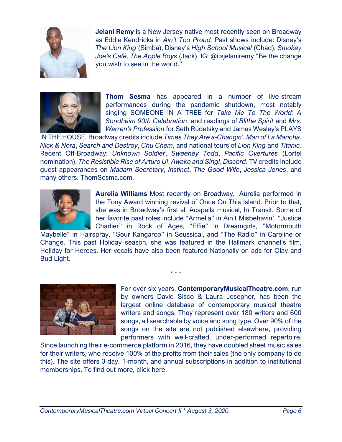

**Jelani Remy** is a New Jersey native most recently seen on Broadway as Eddie Kendricks in *Ain't Too Proud.* Past shows include: Disney's *The Lion King* (Simba), Disney's *High School Musical* (Chad), *Smokey Joe's Café*, *The Apple Boys* (Jack). IG: @itsjelaniremy "Be the change you wish to see in the world."



**Thom Sesma** has appeared in a number of live-stream performances during the pandemic shutdown, most notably singing SOMEONE IN A TREE for *Take Me To The World: A Sondheim 90th Celebration*, and readings of *Blithe Spirit* and *Mrs. Warren's Profession* for Seth Rudetsky and James Wesley's PLAYS

IN THE HOUSE. Broadway credits include *Times They Are a-Changin'*, *Man of La Mancha*, *Nick & Nora*, *Search and Destroy*, *Chu Chem*, and national tours of *Lion King* and *Titanic.*  Recent Off-Broadway: *Unknown Soldier*, *Sweeney Todd*, *Pacific Overtures* (Lortel nomination), *The Resistible Rise of Arturo Ui*, *Awake and Sing!*, *Discord.* TV credits include guest appearances on *Madam Secretary*, *Instinct*, *The Good Wife*, *Jessica Jones*, and many others. ThomSesma.com.



**Aurelia Williams** Most recently on Broadway, Aurelia performed in the Tony Award winning revival of Once On This Island. Prior to that, she was in Broadway's first all Acapella musical, In Transit. Some of her favorite past roles include "Armelia" in Ain't Misbehavin', "Justice Charlier" in Rock of Ages, "Effie" in Dreamgirls, "Motormouth

Maybelle" in Hairspray, "Sour Kangaroo" in Seussical, and "The Radio" in Caroline or Change. This past Holiday season, she was featured in the Hallmark channel's film, Holiday for Heroes. Her vocals have also been featured Nationally on ads for Olay and Bud Light.

\* \* \*



For over six years, **[ContemporaryMusicalTheatre.com](http://contemporarymusicaltheatre.com/)**, run by owners David Sisco & Laura Josepher, has been the largest online database of contemporary musical theatre writers and songs. They represent over 180 writers and 600 songs, all searchable by voice and song type. Over 90% of the songs on the site are not published elsewhere, providing performers with well-crafted, under-performed repertoire.

Since launching their e-commerce platform in 2016, they have doubled sheet music sales for their writers, who receive 100% of the profits from their sales (the only company to do this). The site offers 3-day, 1-month, and annual subscriptions in addition to institutional memberships. To find out more, [click here.](https://www.contemporarymusicaltheatre.com/subscribe)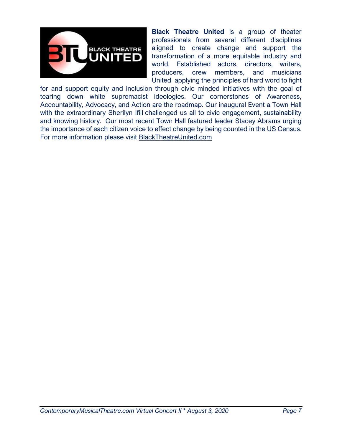

**Black Theatre United** is a group of theater professionals from several different disciplines aligned to create change and support the transformation of a more equitable industry and world. Established actors, directors, writers, producers, crew members, and musicians United applying the principles of hard word to fight

for and support equity and inclusion through civic minded initiatives with the goal of tearing down white supremacist ideologies. Our cornerstones of Awareness, Accountability, Advocacy, and Action are the roadmap. Our inaugural Event a Town Hall with the extraordinary Sherilyn Ifill challenged us all to civic engagement, sustainability and knowing history. Our most recent Town Hall featured leader Stacey Abrams urging the importance of each citizen voice to effect change by being counted in the US Census. For more information please visit [BlackTheatreUnited.com](http://blacktheatreunited.com/)